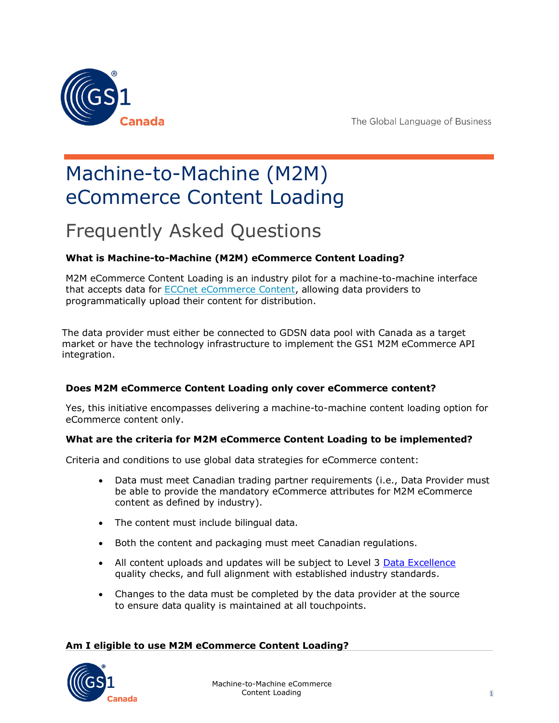

# Machine-to-Machine (M2M) eCommerce Content Loading

# Frequently Asked Questions

# **What is Machine-to-Machine (M2M) eCommerce Content Loading?**

M2M eCommerce Content Loading is an industry pilot for a machine-to-machine interface that accepts data for **ECCnet eCommerce Content**, allowing data providers to programmatically upload their content for distribution.

The data provider must either be connected to GDSN data pool with Canada as a target market or have the technology infrastructure to implement the GS1 M2M eCommerce API integration.

# **Does M2M eCommerce Content Loading only cover eCommerce content?**

Yes, this initiative encompasses delivering a machine-to-machine content loading option for eCommerce content only.

# **What are the criteria for M2M eCommerce Content Loading to be implemented?**

Criteria and conditions to use global data strategies for eCommerce content:

- Data must meet Canadian trading partner requirements (i.e., Data Provider must be able to provide the mandatory eCommerce attributes for M2M eCommerce content as defined by industry).
- The content must include bilingual data.
- Both the content and packaging must meet Canadian regulations.
- All content uploads and updates will be subject to Level 3 [Data Excellence](https://gs1ca.org/data-excellence/) quality checks, and full alignment with established industry standards.
- Changes to the data must be completed by the data provider at the source to ensure data quality is maintained at all touchpoints.

## **Am I eligible to use M2M eCommerce Content Loading?**

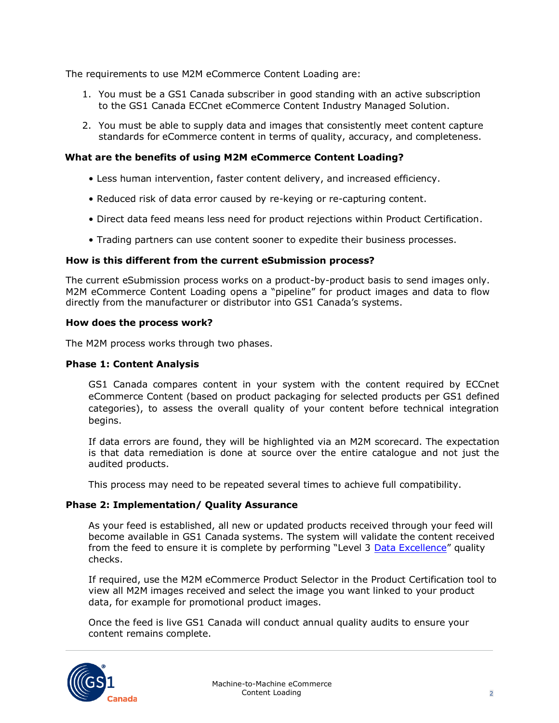The requirements to use M2M eCommerce Content Loading are:

- 1. You must be a GS1 Canada subscriber in good standing with an active subscription to the GS1 Canada ECCnet eCommerce Content Industry Managed Solution.
- 2. You must be able to supply data and images that consistently meet content capture standards for eCommerce content in terms of quality, accuracy, and completeness.

#### **What are the benefits of using M2M eCommerce Content Loading?**

- Less human intervention, faster content delivery, and increased efficiency.
- Reduced risk of data error caused by re-keying or re-capturing content.
- Direct data feed means less need for product rejections within Product Certification.
- Trading partners can use content sooner to expedite their business processes.

#### **How is this different from the current eSubmission process?**

The current eSubmission process works on a product-by-product basis to send images only. M2M eCommerce Content Loading opens a "pipeline" for product images and data to flow directly from the manufacturer or distributor into GS1 Canada's systems.

#### **How does the process work?**

The M2M process works through two phases.

#### **Phase 1: Content Analysis**

GS1 Canada compares content in your system with the content required by ECCnet eCommerce Content (based on product packaging for selected products per GS1 defined categories), to assess the overall quality of your content before technical integration begins.

If data errors are found, they will be highlighted via an M2M scorecard. The expectation is that data remediation is done at source over the entire catalogue and not just the audited products.

This process may need to be repeated several times to achieve full compatibility.

#### **Phase 2: Implementation/ Quality Assurance**

As your feed is established, all new or updated products received through your feed will become available in GS1 Canada systems. The system will validate the content received from the feed to ensure it is complete by performing "Level 3 [Data Excellence](https://gs1ca.org/data-excellence/)" quality checks.

If required, use the M2M eCommerce Product Selector in the Product Certification tool to view all M2M images received and select the image you want linked to your product data, for example for promotional product images.

Once the feed is live GS1 Canada will conduct annual quality audits to ensure your content remains complete.

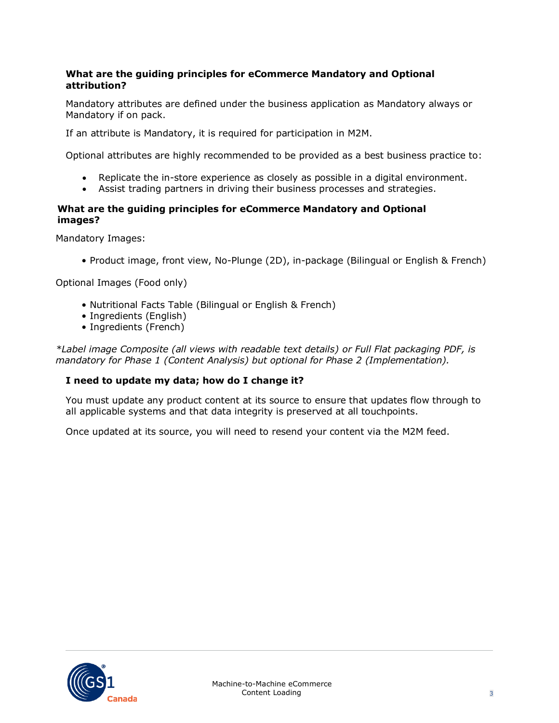## **What are the guiding principles for eCommerce Mandatory and Optional attribution?**

Mandatory attributes are defined under the business application as Mandatory always or Mandatory if on pack.

If an attribute is Mandatory, it is required for participation in M2M.

Optional attributes are highly recommended to be provided as a best business practice to:

- Replicate the in-store experience as closely as possible in a digital environment.
- Assist trading partners in driving their business processes and strategies.

## **What are the guiding principles for eCommerce Mandatory and Optional images?**

Mandatory Images:

• Product image, front view, No-Plunge (2D), in-package (Bilingual or English & French)

Optional Images (Food only)

- Nutritional Facts Table (Bilingual or English & French)
- Ingredients (English)
- Ingredients (French)

*\*Label image Composite (all views with readable text details) or Full Flat packaging PDF, is mandatory for Phase 1 (Content Analysis) but optional for Phase 2 (Implementation).*

## **I need to update my data; how do I change it?**

You must update any product content at its source to ensure that updates flow through to all applicable systems and that data integrity is preserved at all touchpoints.

Once updated at its source, you will need to resend your content via the M2M feed.